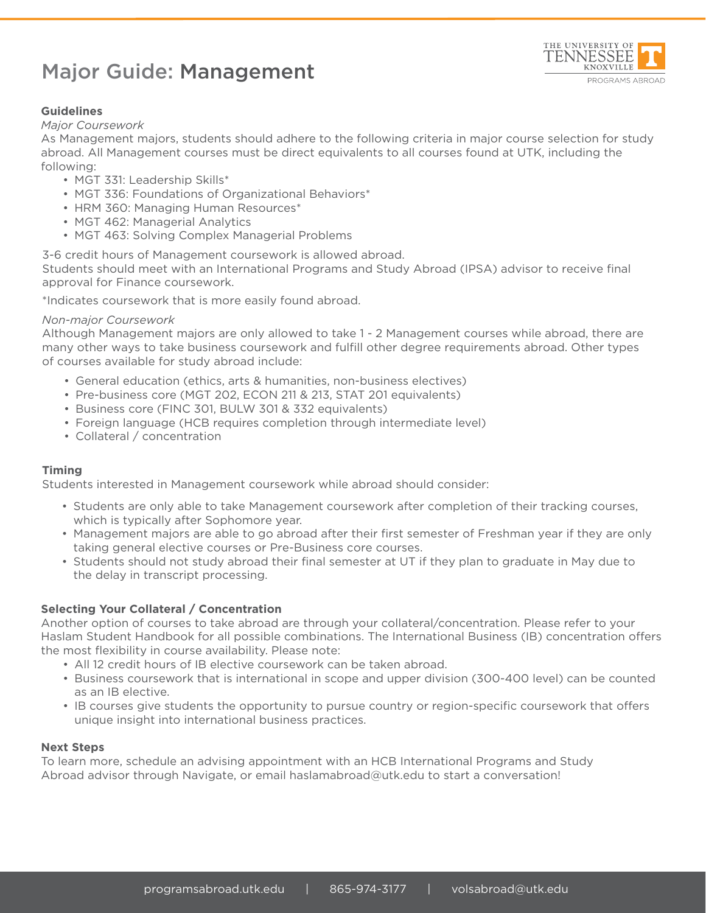# Major Guide: Management



## **Guidelines**

#### *Major Coursework*

As Management majors, students should adhere to the following criteria in major course selection for study abroad. All Management courses must be direct equivalents to all courses found at UTK, including the following:

- MGT 331: Leadership Skills\*
- MGT 336: Foundations of Organizational Behaviors\*
- HRM 360: Managing Human Resources\*
- MGT 462: Managerial Analytics
- MGT 463: Solving Complex Managerial Problems

3-6 credit hours of Management coursework is allowed abroad. Students should meet with an International Programs and Study Abroad (IPSA) advisor to receive final approval for Finance coursework.

\*Indicates coursework that is more easily found abroad.

#### *Non-major Coursework*

Although Management majors are only allowed to take 1 - 2 Management courses while abroad, there are many other ways to take business coursework and fulfill other degree requirements abroad. Other types of courses available for study abroad include:

- General education (ethics, arts & humanities, non-business electives)
- Pre-business core (MGT 202, ECON 211 & 213, STAT 201 equivalents)
- Business core (FINC 301, BULW 301 & 332 equivalents)
- Foreign language (HCB requires completion through intermediate level)
- Collateral / concentration

#### **Timing**

Students interested in Management coursework while abroad should consider:

- Students are only able to take Management coursework after completion of their tracking courses, which is typically after Sophomore year.
- Management majors are able to go abroad after their first semester of Freshman year if they are only taking general elective courses or Pre-Business core courses.
- Students should not study abroad their final semester at UT if they plan to graduate in May due to the delay in transcript processing.

### **Selecting Your Collateral / Concentration**

Another option of courses to take abroad are through your collateral/concentration. Please refer to your Haslam Student Handbook for all possible combinations. The International Business (IB) concentration offers the most flexibility in course availability. Please note:

- All 12 credit hours of IB elective coursework can be taken abroad.
- Business coursework that is international in scope and upper division (300-400 level) can be counted as an IB elective.
- IB courses give students the opportunity to pursue country or region-specific coursework that offers unique insight into international business practices.

#### **Next Steps**

To learn more, schedule an advising appointment with an HCB International Programs and Study Abroad advisor through Navigate, or email haslamabroad@utk.edu to start a conversation!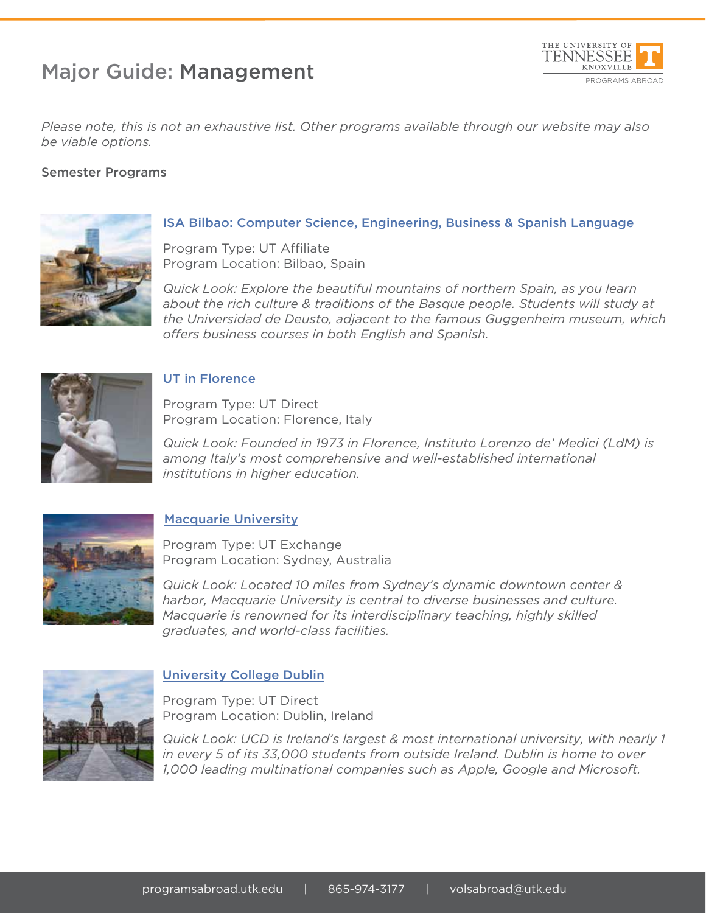# Major Guide: Management



*Please note, this is not an exhaustive list. Other programs available through our website may also be viable options.* 

## Semester Programs



# ISA Bilbao: Computer Science, Engineering, Business & Spanish Language

Program Type: UT Affiliate Program Location: Bilbao, Spain

*Quick Look: Explore the beautiful mountains of northern Spain, as you learn about the rich culture & traditions of the Basque people. Students will study at the Universidad de Deusto, adjacent to the famous Guggenheim museum, which offers business courses in both English and Spanish.*



## UT in Florence

Program Type: UT Direct Program Location: Florence, Italy

*Quick Look: Founded in 1973 in Florence, Instituto Lorenzo de' Medici (LdM) is among Italy's most comprehensive and well-established international institutions in higher education.*



## Macquarie University

Program Type: UT Exchange Program Location: Sydney, Australia

*Quick Look: Located 10 miles from Sydney's dynamic downtown center & harbor, Macquarie University is central to diverse businesses and culture. Macquarie is renowned for its interdisciplinary teaching, highly skilled graduates, and world-class facilities.*



### University College Dublin

Program Type: UT Direct Program Location: Dublin, Ireland

*Quick Look: UCD is Ireland's largest & most international university, with nearly 1 in every 5 of its 33,000 students from outside Ireland. Dublin is home to over 1,000 leading multinational companies such as Apple, Google and Microsoft.*